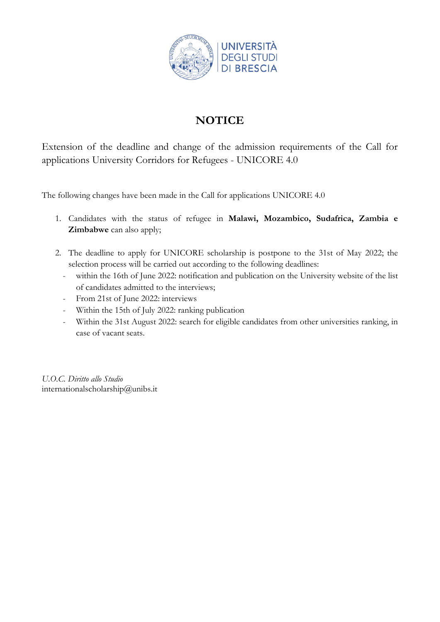

# **NOTICE**

Extension of the deadline and change of the admission requirements of the Call for applications University Corridors for Refugees - UNICORE 4.0

The following changes have been made in the Call for applications UNICORE 4.0

- 1. Candidates with the status of refugee in **Malawi, Mozambico, Sudafrica, Zambia e Zimbabwe** can also apply;
- 2. The deadline to apply for UNICORE scholarship is postpone to the 31st of May 2022; the selection process will be carried out according to the following deadlines:
	- within the 16th of June 2022: notification and publication on the University website of the list of candidates admitted to the interviews;
	- From 21st of June 2022: interviews
	- Within the 15th of July 2022: ranking publication
	- Within the 31st August 2022: search for eligible candidates from other universities ranking, in case of vacant seats.

*U.O.C. Diritto allo Studio*  internationalscholarship@unibs.it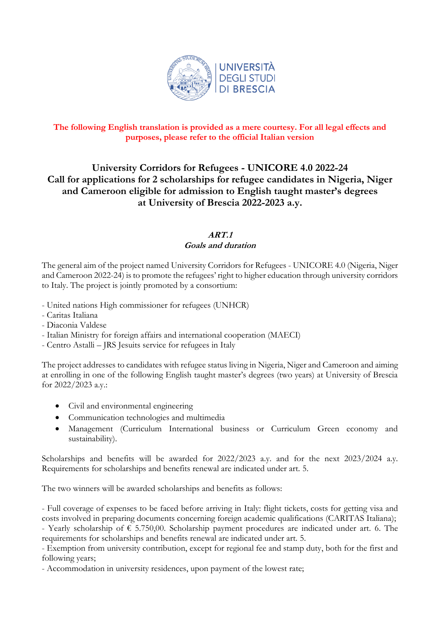

# **The following English translation is provided as a mere courtesy. For all legal effects and purposes, please refer to the official Italian version**

# **University Corridors for Refugees - UNICORE 4.0 2022-24 Call for applications for 2 scholarships for refugee candidates in Nigeria, Niger and Cameroon eligible for admission to English taught master's degrees at University of Brescia 2022-2023 a.y.**

# **ART.1 Goals and duration**

The general aim of the project named University Corridors for Refugees - UNICORE 4.0 (Nigeria, Niger and Cameroon 2022-24) is to promote the refugees' right to higher education through university corridors to Italy. The project is jointly promoted by a consortium:

- United nations High commissioner for refugees (UNHCR)
- Caritas Italiana
- Diaconia Valdese
- Italian Ministry for foreign affairs and international cooperation (MAECI)
- Centro Astalli JRS Jesuits service for refugees in Italy

The project addresses to candidates with refugee status living in Nigeria, Niger and Cameroon and aiming at enrolling in one of the following English taught master's degrees (two years) at University of Brescia for 2022/2023 a.y.:

- Civil and environmental engineering
- Communication technologies and multimedia
- Management (Curriculum International business or Curriculum Green economy and sustainability).

Scholarships and benefits will be awarded for 2022/2023 a.y. and for the next 2023/2024 a.y. Requirements for scholarships and benefits renewal are indicated under art. 5.

The two winners will be awarded scholarships and benefits as follows:

- Full coverage of expenses to be faced before arriving in Italy: flight tickets, costs for getting visa and costs involved in preparing documents concerning foreign academic qualifications (CARITAS Italiana); - Yearly scholarship of € 5.750,00. Scholarship payment procedures are indicated under art. 6. The requirements for scholarships and benefits renewal are indicated under art. 5.

- Exemption from university contribution, except for regional fee and stamp duty, both for the first and following years;

- Accommodation in university residences, upon payment of the lowest rate;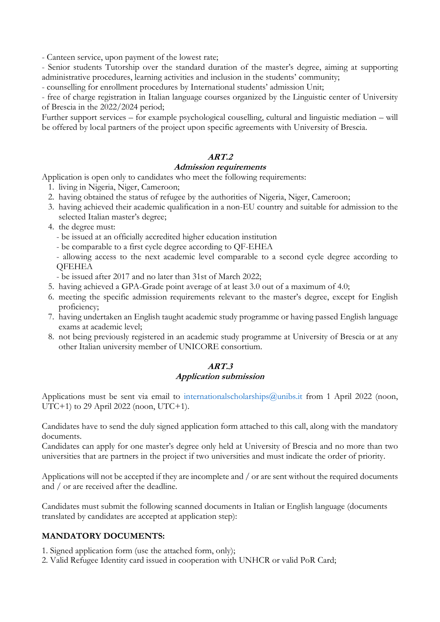- Canteen service, upon payment of the lowest rate;

- Senior students Tutorship over the standard duration of the master's degree, aiming at supporting administrative procedures, learning activities and inclusion in the students' community;

- counselling for enrollment procedures by International students' admission Unit;

- free of charge registration in Italian language courses organized by the Linguistic center of University of Brescia in the 2022/2024 period;

Further support services – for example psychological couselling, cultural and linguistic mediation – will be offered by local partners of the project upon specific agreements with University of Brescia.

# **ART.2**

### **Admission requirements**

Application is open only to candidates who meet the following requirements:

- 1. living in Nigeria, Niger, Cameroon;
- 2. having obtained the status of refugee by the authorities of Nigeria, Niger, Cameroon;
- 3. having achieved their academic qualification in a non-EU country and suitable for admission to the selected Italian master's degree;
- 4. the degree must:
	- be issued at an officially accredited higher education institution
	- be comparable to a first cycle degree according to QF-EHEA

- allowing access to the next academic level comparable to a second cycle degree according to **QFEHEA** 

- be issued after 2017 and no later than 31st of March 2022;
- 5. having achieved a GPA-Grade point average of at least 3.0 out of a maximum of 4.0;
- 6. meeting the specific admission requirements relevant to the master's degree, except for English proficiency;
- 7. having undertaken an English taught academic study programme or having passed English language exams at academic level;
- 8. not being previously registered in an academic study programme at University of Brescia or at any other Italian university member of UNICORE consortium.

# **ART.3 Application submission**

Applications must be sent via email to internationalscholarships@unibs.it from 1 April 2022 (noon, UTC+1) to 29 April 2022 (noon, UTC+1).

Candidates have to send the duly signed application form attached to this call, along with the mandatory documents.

Candidates can apply for one master's degree only held at University of Brescia and no more than two universities that are partners in the project if two universities and must indicate the order of priority.

Applications will not be accepted if they are incomplete and / or are sent without the required documents and / or are received after the deadline.

Candidates must submit the following scanned documents in Italian or English language (documents translated by candidates are accepted at application step):

### **MANDATORY DOCUMENTS:**

- 1. Signed application form (use the attached form, only);
- 2. Valid Refugee Identity card issued in cooperation with UNHCR or valid PoR Card;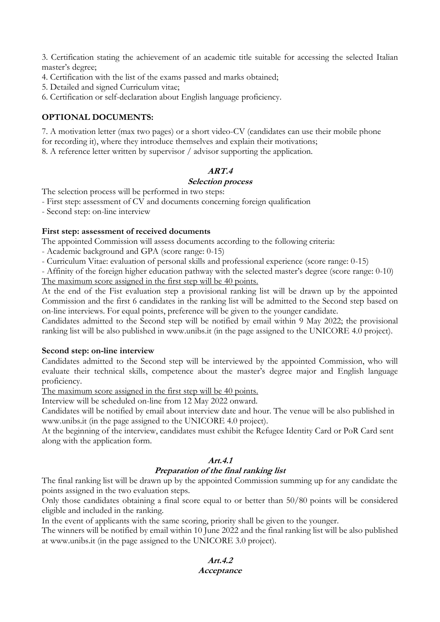3. Certification stating the achievement of an academic title suitable for accessing the selected Italian master's degree;

- 4. Certification with the list of the exams passed and marks obtained;
- 5. Detailed and signed Curriculum vitae;
- 6. Certification or self-declaration about English language proficiency.

# **OPTIONAL DOCUMENTS:**

7. A motivation letter (max two pages) or a short video-CV (candidates can use their mobile phone for recording it), where they introduce themselves and explain their motivations; 8. A reference letter written by supervisor / advisor supporting the application.

# **ART.4**

# **Selection process**

The selection process will be performed in two steps:

- First step: assessment of CV and documents concerning foreign qualification

- Second step: on-line interview

# **First step: assessment of received documents**

The appointed Commission will assess documents according to the following criteria:

- Academic background and GPA (score range: 0-15)

- Curriculum Vitae: evaluation of personal skills and professional experience (score range: 0-15)

- Affinity of the foreign higher education pathway with the selected master's degree (score range: 0-10) The maximum score assigned in the first step will be 40 points.

At the end of the Fist evaluation step a provisional ranking list will be drawn up by the appointed Commission and the first 6 candidates in the ranking list will be admitted to the Second step based on on-line interviews. For equal points, preference will be given to the younger candidate.

Candidates admitted to the Second step will be notified by email within 9 May 2022; the provisional ranking list will be also published in www.unibs.it (in the page assigned to the UNICORE 4.0 project).

# **Second step: on-line interview**

Candidates admitted to the Second step will be interviewed by the appointed Commission, who will evaluate their technical skills, competence about the master's degree major and English language proficiency.

The maximum score assigned in the first step will be 40 points.

Interview will be scheduled on-line from 12 May 2022 onward.

Candidates will be notified by email about interview date and hour. The venue will be also published in www.unibs.it (in the page assigned to the UNICORE 4.0 project).

At the beginning of the interview, candidates must exhibit the Refugee Identity Card or PoR Card sent along with the application form.

# **Art.4.1**

# **Preparation of the final ranking list**

The final ranking list will be drawn up by the appointed Commission summing up for any candidate the points assigned in the two evaluation steps.

Only those candidates obtaining a final score equal to or better than 50/80 points will be considered eligible and included in the ranking.

In the event of applicants with the same scoring, priority shall be given to the younger.

The winners will be notified by email within 10 June 2022 and the final ranking list will be also published at www.unibs.it (in the page assigned to the UNICORE 3.0 project).

**Art.4.2**

### **Acceptance**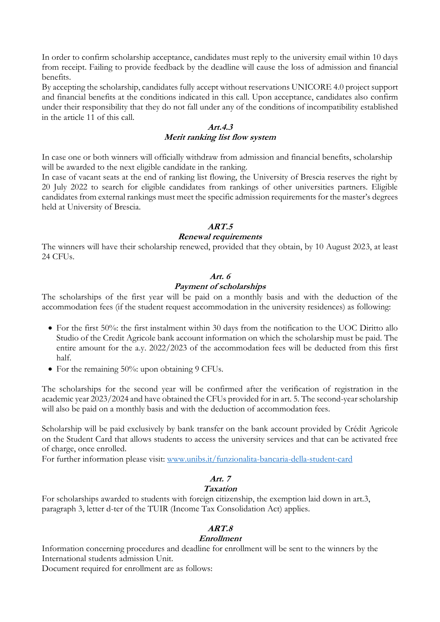In order to confirm scholarship acceptance, candidates must reply to the university email within 10 days from receipt. Failing to provide feedback by the deadline will cause the loss of admission and financial benefits.

By accepting the scholarship, candidates fully accept without reservations UNICORE 4.0 project support and financial benefits at the conditions indicated in this call. Upon acceptance, candidates also confirm under their responsibility that they do not fall under any of the conditions of incompatibility established in the article 11 of this call.

### **Art.4.3 Merit ranking list flow system**

In case one or both winners will officially withdraw from admission and financial benefits, scholarship will be awarded to the next eligible candidate in the ranking.

In case of vacant seats at the end of ranking list flowing, the University of Brescia reserves the right by 20 July 2022 to search for eligible candidates from rankings of other universities partners. Eligible candidates from external rankings must meet the specific admission requirements for the master's degrees held at University of Brescia.

# **ART.5**

### **Renewal requirements**

The winners will have their scholarship renewed, provided that they obtain, by 10 August 2023, at least 24 CFUs.

# **Art. 6**

# **Payment of scholarships**

The scholarships of the first year will be paid on a monthly basis and with the deduction of the accommodation fees (if the student request accommodation in the university residences) as following:

- For the first 50%: the first instalment within 30 days from the notification to the UOC Diritto allo Studio of the Credit Agricole bank account information on which the scholarship must be paid. The entire amount for the a.y. 2022/2023 of the accommodation fees will be deducted from this first half.
- For the remaining 50%: upon obtaining 9 CFUs.

The scholarships for the second year will be confirmed after the verification of registration in the academic year 2023/2024 and have obtained the CFUs provided for in art. 5. The second-year scholarship will also be paid on a monthly basis and with the deduction of accommodation fees.

Scholarship will be paid exclusively by bank transfer on the bank account provided by Crédit Agricole on the Student Card that allows students to access the university services and that can be activated free of charge, once enrolled.

For further information please visit: [www.unibs.it/funzionalita-bancaria-della-student-card](http://www.unibs.it/funzionalita-bancaria-della-student-card)

# **Art. 7**

# **Taxation**

For scholarships awarded to students with foreign citizenship, the exemption laid down in art.3, paragraph 3, letter d-ter of the TUIR (Income Tax Consolidation Act) applies.

# **ART.8**

# **Enrollment**

Information concerning procedures and deadline for enrollment will be sent to the winners by the International students admission Unit.

Document required for enrollment are as follows: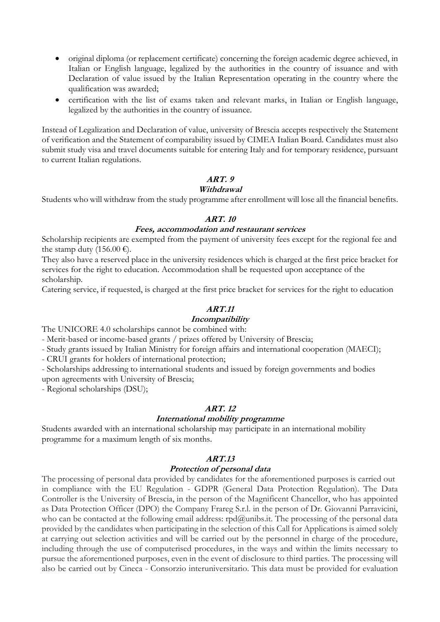- original diploma (or replacement certificate) concerning the foreign academic degree achieved, in Italian or English language, legalized by the authorities in the country of issuance and with Declaration of value issued by the Italian Representation operating in the country where the qualification was awarded;
- certification with the list of exams taken and relevant marks, in Italian or English language, legalized by the authorities in the country of issuance.

Instead of Legalization and Declaration of value, university of Brescia accepts respectively the Statement of verification and the Statement of comparability issued by CIMEA Italian Board. Candidates must also submit study visa and travel documents suitable for entering Italy and for temporary residence, pursuant to current Italian regulations.

### **ART. 9**

### **Withdrawal**

Students who will withdraw from the study programme after enrollment will lose all the financial benefits.

### **ART. 10**

### **Fees, accommodation and restaurant services**

Scholarship recipients are exempted from the payment of university fees except for the regional fee and the stamp duty (156.00 €).

They also have a reserved place in the university residences which is charged at the first price bracket for services for the right to education. Accommodation shall be requested upon acceptance of the scholarship.

Catering service, if requested, is charged at the first price bracket for services for the right to education

### **ART.11**

### **Incompatibility**

The UNICORE 4.0 scholarships cannot be combined with:

- Merit-based or income-based grants / prizes offered by University of Brescia;

- Study grants issued by Italian Ministry for foreign affairs and international cooperation (MAECI);

- CRUI grants for holders of international protection;

- Scholarships addressing to international students and issued by foreign governments and bodies upon agreements with University of Brescia;

- Regional scholarships (DSU);

### **ART. 12**

### **International mobility programme**

Students awarded with an international scholarship may participate in an international mobility programme for a maximum length of six months.

### **ART.13**

#### **Protection of personal data**

The processing of personal data provided by candidates for the aforementioned purposes is carried out in compliance with the EU Regulation - GDPR (General Data Protection Regulation). The Data Controller is the University of Brescia, in the person of the Magnificent Chancellor, who has appointed as Data Protection Officer (DPO) the Company Frareg S.r.l. in the person of Dr. Giovanni Parravicini, who can be contacted at the following email address: rpd@unibs.it. The processing of the personal data provided by the candidates when participating in the selection of this Call for Applications is aimed solely at carrying out selection activities and will be carried out by the personnel in charge of the procedure, including through the use of computerised procedures, in the ways and within the limits necessary to pursue the aforementioned purposes, even in the event of disclosure to third parties. The processing will also be carried out by Cineca - Consorzio interuniversitario. This data must be provided for evaluation